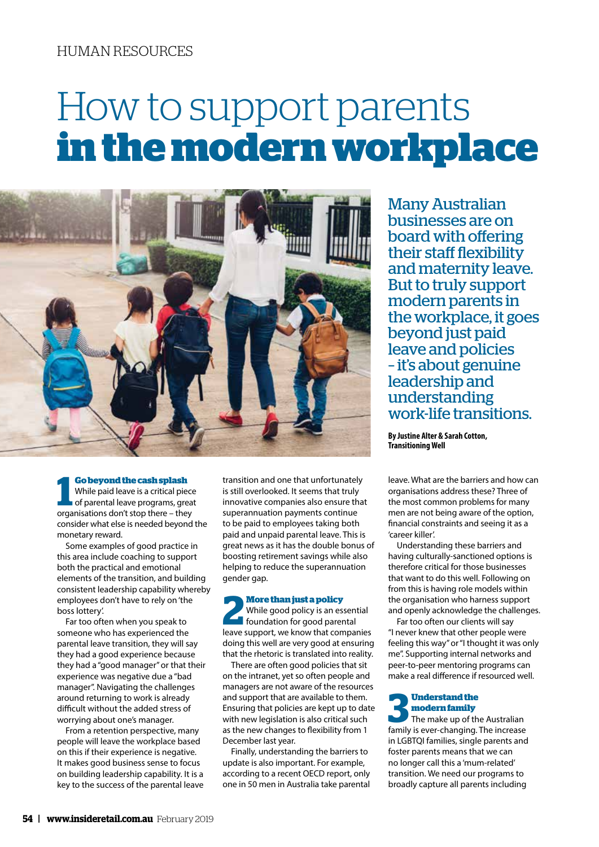# How to support parents **in the modern workplace**



#### **Go beyond the cash splash**

**11 Go beyond the cash splash**<br>
11 While paid leave is a critical piece<br>
11 of parental leave programs, grea<br>
11 organisations don't stop there – they While paid leave is a critical piece of parental leave programs, great consider what else is needed beyond the monetary reward.

Some examples of good practice in this area include coaching to support both the practical and emotional elements of the transition, and building consistent leadership capability whereby employees don't have to rely on 'the boss lottery'.

Far too often when you speak to someone who has experienced the parental leave transition, they will say they had a good experience because they had a "good manager" or that their experience was negative due a "bad manager". Navigating the challenges around returning to work is already difficult without the added stress of worrying about one's manager.

From a retention perspective, many people will leave the workplace based on this if their experience is negative. It makes good business sense to focus on building leadership capability. It is a key to the success of the parental leave

transition and one that unfortunately is still overlooked. It seems that truly innovative companies also ensure that superannuation payments continue to be paid to employees taking both paid and unpaid parental leave. This is great news as it has the double bonus of boosting retirement savings while also helping to reduce the superannuation gender gap.

**22 More than just a policy**<br> **2 While good policy** is an essential<br> **Example:** the good parental While good policy is an essential leave support, we know that companies doing this well are very good at ensuring that the rhetoric is translated into reality.

There are often good policies that sit on the intranet, yet so often people and managers are not aware of the resources and support that are available to them. Ensuring that policies are kept up to date with new legislation is also critical such as the new changes to flexibility from 1 December last year.

Finally, understanding the barriers to update is also important. For example, according to a recent OECD report, only one in 50 men in Australia take parental Many Australian businesses are on board with offering their staff flexibility and maternity leave. But to truly support modern parents in the workplace, it goes beyond just paid leave and policies – it's about genuine leadership and understanding work-life transitions.

**By Justine Alter & Sarah Cotton, Transitioning Well**

leave. What are the barriers and how can organisations address these? Three of the most common problems for many men are not being aware of the option, financial constraints and seeing it as a 'career killer'.

Understanding these barriers and having culturally-sanctioned options is therefore critical for those businesses that want to do this well. Following on from this is having role models within the organisation who harness support and openly acknowledge the challenges.

Far too often our clients will say "I never knew that other people were feeling this way" or "I thought it was only me". Supporting internal networks and peer-to-peer mentoring programs can make a real difference if resourced well.

# **3 Understand the <br>
The make up of the Australian<br>
family is over changing The increase modern family**

family is ever-changing. The increase in LGBTQI families, single parents and foster parents means that we can no longer call this a 'mum-related' transition. We need our programs to broadly capture all parents including